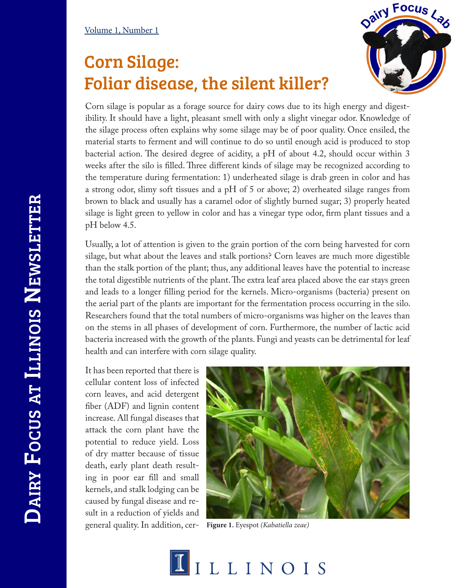## Corn Silage: Foliar disease, the silent killer?



Corn silage is popular as a forage source for dairy cows due to its high energy and digestibility. It should have a light, pleasant smell with only a slight vinegar odor. Knowledge of the silage process often explains why some silage may be of poor quality. Once ensiled, the material starts to ferment and will continue to do so until enough acid is produced to stop bacterial action. The desired degree of acidity, a pH of about 4.2, should occur within 3 weeks after the silo is filled. Three different kinds of silage may be recognized according to the temperature during fermentation: 1) underheated silage is drab green in color and has a strong odor, slimy soft tissues and a pH of 5 or above; 2) overheated silage ranges from brown to black and usually has a caramel odor of slightly burned sugar; 3) properly heated silage is light green to yellow in color and has a vinegar type odor, firm plant tissues and a pH below 4.5.

Usually, a lot of attention is given to the grain portion of the corn being harvested for corn silage, but what about the leaves and stalk portions? Corn leaves are much more digestible than the stalk portion of the plant; thus, any additional leaves have the potential to increase the total digestible nutrients of the plant. The extra leaf area placed above the ear stays green and leads to a longer filling period for the kernels. Micro-organisms (bacteria) present on the aerial part of the plants are important for the fermentation process occurring in the silo. Researchers found that the total numbers of micro-organisms was higher on the leaves than on the stems in all phases of development of corn. Furthermore, the number of lactic acid bacteria increased with the growth of the plants. Fungi and yeasts can be detrimental for leaf health and can interfere with corn silage quality.

It has been reported that there is cellular content loss of infected corn leaves, and acid detergent fiber (ADF) and lignin content increase. All fungal diseases that attack the corn plant have the potential to reduce yield. Loss of dry matter because of tissue death, early plant death resulting in poor ear fill and small kernels, and stalk lodging can be caused by fungal disease and result in a reduction of yields and general quality. In addition, cer-



**Figure 1.** Eyespot *(Kabatiella zeae)*

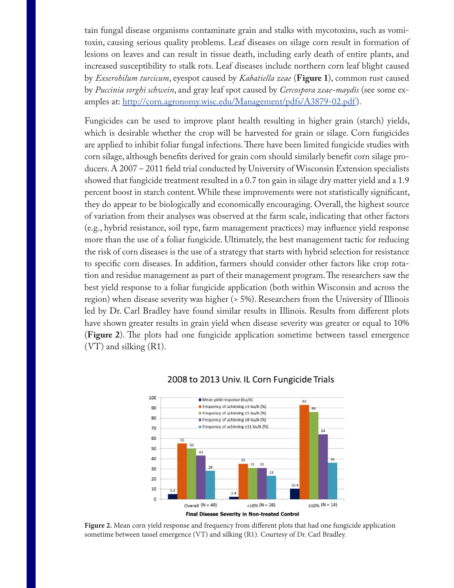tain fungal disease organisms contaminate grain and stalks with mycotoxins, such as vomitoxin, causing serious quality problems. Leaf diseases on silage corn result in formation of lesions on leaves and can result in tissue death, including early death of entire plants, and increased susceptibility to stalk rots. Leaf diseases include northern corn leaf blight caused by *Exserohilum turcicum*, eyespot caused by *Kabatiella zeae* (**Figure 1**), common rust caused by *Puccinia sorghi schwein*, and gray leaf spot caused by *Cercospora zeae-maydis* (see some examples at: http://corn.agronomy.wisc.edu/Management/pdfs/A3879-02.pdf).

Fungicides can be used to improve plant health resulting in higher grain (starch) yields, which is desirable whether the crop will be harvested for grain or silage. Corn fungicides are applied to inhibit foliar fungal infections. There have been limited fungicide studies with corn silage, although benefits derived for grain corn should similarly benefit corn silage producers. A 2007 – 2011 field trial conducted by University of Wisconsin Extension specialists showed that fungicide treatment resulted in a 0.7 ton gain in silage dry matter yield and a 1.9 percent boost in starch content. While these improvements were not statistically significant, they do appear to be biologically and economically encouraging. Overall, the highest source of variation from their analyses was observed at the farm scale, indicating that other factors (e.g., hybrid resistance, soil type, farm management practices) may influence yield response more than the use of a foliar fungicide. Ultimately, the best management tactic for reducing the risk of corn diseases is the use of a strategy that starts with hybrid selection for resistance to specific corn diseases. In addition, farmers should consider other factors like crop rotation and residue management as part of their management program. The researchers saw the best yield response to a foliar fungicide application (both within Wisconsin and across the region) when disease severity was higher (> 5%). Researchers from the University of Illinois led by Dr. Carl Bradley have found similar results in Illinois. Results from different plots have shown greater results in grain yield when disease severity was greater or equal to 10% (**Figure 2**). The plots had one fungicide application sometime between tassel emergence (VT) and silking (R1).



## 2008 to 2013 Univ. IL Corn Fungicide Trials

**Figure 2.** Mean corn yield response and frequency from different plots that had one fungicide application sometime between tassel emergence (VT) and silking (R1). Courtesy of Dr. Carl Bradley.